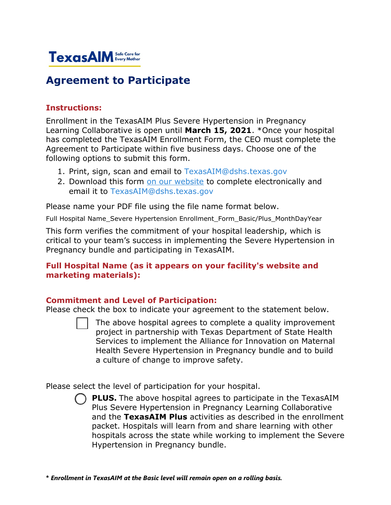

# **Agreement to Participate**

## **Instructions:**

Enrollment in the TexasAIM Plus Severe Hypertension in Pregnancy Learning Collaborative is open until **March 15, 2021**. \*Once your hospital has completed the TexasAIM Enrollment Form, the CEO must complete the Agreement to Participate within five business days. Choose one of the following options to submit this form.

- 1. Print, sign, scan and email to [TexasAIM@dshs.texas.gov](mailto:TexasAIM@dshs.texas.gov)
- 2. Download this form [on our website](https://www.dshs.texas.gov/mch/CSHCN/pdf/TexasAIM-Hospital-Enrollment-Form.pdf) to complete electronically and email it to [TexasAIM@dshs.texas.gov](mailto:TexasAIM@dshs.texas.gov)

Please name your PDF file using the file name format below.

Full Hospital Name Severe Hypertension Enrollment Form Basic/Plus MonthDayYear

This form verifies the commitment of your hospital leadership, which is critical to your team's success in implementing the Severe Hypertension in Pregnancy bundle and participating in TexasAIM.

## **Full Hospital Name (as it appears on your facility's website and marketing materials):**

# **Commitment and Level of Participation:**

Please check the box to indicate your agreement to the statement below.

The above hospital agrees to complete a quality improvement project in partnership with Texas Department of State Health Services to implement the Alliance for Innovation on Maternal Health Severe Hypertension in Pregnancy bundle and to build a culture of change to improve safety.

Please select the level of participation for your hospital.

**PLUS.** The above hospital agrees to participate in the TexasAIM Plus Severe Hypertension in Pregnancy Learning Collaborative and the **TexasAIM Plus** activities as described in the enrollment packet. Hospitals will learn from and share learning with other hospitals across the state while working to implement the Severe Hypertension in Pregnancy bundle.